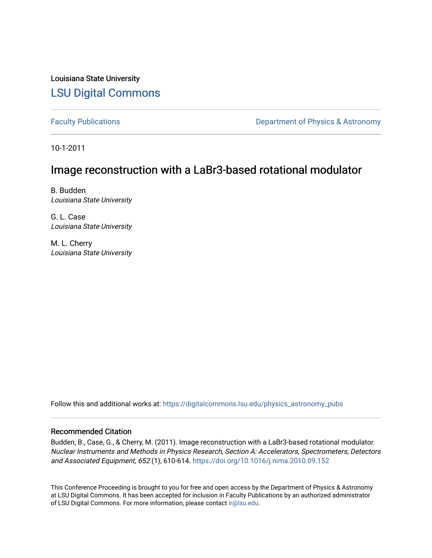Louisiana State University [LSU Digital Commons](https://digitalcommons.lsu.edu/)

[Faculty Publications](https://digitalcommons.lsu.edu/physics_astronomy_pubs) **Exercise 2 and Table 2 and Table 2 and Table 2 and Table 2 and Table 2 and Table 2 and Table 2 and Table 2 and Table 2 and Table 2 and Table 2 and Table 2 and Table 2 and Table 2 and Table 2 and Table** 

10-1-2011

# Image reconstruction with a LaBr3-based rotational modulator

B. Budden Louisiana State University

G. L. Case Louisiana State University

M. L. Cherry Louisiana State University

Follow this and additional works at: [https://digitalcommons.lsu.edu/physics\\_astronomy\\_pubs](https://digitalcommons.lsu.edu/physics_astronomy_pubs?utm_source=digitalcommons.lsu.edu%2Fphysics_astronomy_pubs%2F675&utm_medium=PDF&utm_campaign=PDFCoverPages) 

# Recommended Citation

Budden, B., Case, G., & Cherry, M. (2011). Image reconstruction with a LaBr3-based rotational modulator. Nuclear Instruments and Methods in Physics Research, Section A: Accelerators, Spectrometers, Detectors and Associated Equipment, 652 (1), 610-614.<https://doi.org/10.1016/j.nima.2010.09.152>

This Conference Proceeding is brought to you for free and open access by the Department of Physics & Astronomy at LSU Digital Commons. It has been accepted for inclusion in Faculty Publications by an authorized administrator of LSU Digital Commons. For more information, please contact [ir@lsu.edu](mailto:ir@lsu.edu).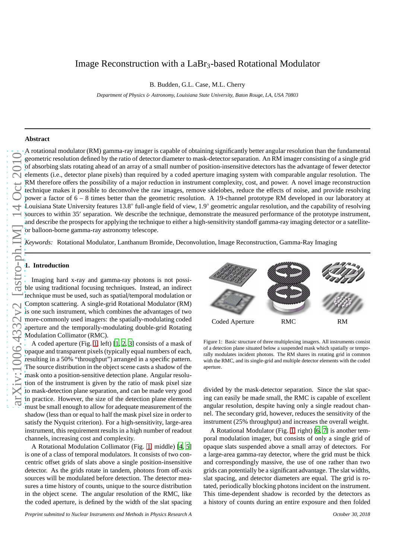# Image Reconstruction with a LaBr<sub>3</sub>-based Rotational Modulator

B. Budden, G.L. Case, M.L. Cherry

*Department of Physics* & *Astronomy, Louisiana State University, Baton Rouge, LA, USA 70803*

## **Abstract**

A rotational modulator (RM) gamma-ray imager is capable of obtaining significantly better angular resolution than the fundamental geometric resolution defined by the ratio of detector diameter to mask-detector separation. An RM imager consisting of a single grid of absorbing slats rotating ahead of an array of a small number of position-insensitive detectors has the advantage of fewer detector elements (i.e., detector plane pixels) than required by a coded aperture imaging system with comparable angular resolution. The RM therefore offers the possibility of a major reduction in instrument complexity, cost, and power. A novel image reconstruction technique makes it possible to deconvolve the raw images, remove sidelobes, reduce the effects of noise, and provide resolving power a factor of 6 – 8 times better than the geometric resolution. A 19-channel prototype RM developed in our laboratory at Louisiana State University features 13.8◦ full-angle field of view, 1.9◦ geometric angular resolution, and the capability of resolving sources to within 35' separation. We describe the technique, demonstrate the measured performance of the prototype instrument, and describe the prospects for applying the technique to either a high-sensitivity standoff gamma-ray imaging detector or a satelliteor balloon-borne gamma-ray astronomy telescope.

*Keywords:* Rotational Modulator, Lanthanum Bromide, Deconvolution, Image Reconstruction, Gamma-Ray Imaging

## **1. Introduction**

Imaging hard x-ray and gamma-ray photons is not possible using traditional focusing techniques. Instead, an indirect technique must be used, such as spatial/temporal modulation or Compton scattering. A single-grid Rotational Modulator (RM) is one such instrument, which combines the advantages of two more-commonly used imagers: the spatially-modulating coded aperture and the temporally-modulating double-grid Rotating Modulation Collimator (RMC).

A coded aperture (Fig. [1,](#page-1-0) left) [\[1,](#page-4-0) [2,](#page-4-1) [3\]](#page-4-2) consists of a mask of opaque and transparent pixels (typically equal numbers of each, resulting in a 50% "throughput") arranged in a specific pattern. The source distribution in the object scene casts a shadow of the mask onto a position-sensitive detection plane. Angular resolution of the instrument is given by the ratio of mask pixel size to mask-detection plane separation, and can be made very good in practice. However, the size of the detection plane elements must be small enough to allow for adequate measurement of the shadow (less than or equal to half the mask pixel size in order to satisfy the Nyquist criterion). For a high-sensitivity, large-area instrument, this requirement results in a high number of readout channels, increasing cost and complexity.

A Rotational Modulation Collimator (Fig. [1,](#page-1-0) middle) [\[4,](#page-4-3) [5](#page-4-4)] is one of a class of temporal modulators. It consists of two concentric offset grids of slats above a single position-insensitive detector. As the grids rotate in tandem, photons from off-axis sources will be modulated before detection. The detector measures a time history of counts, unique to the source distribution in the object scene. The angular resolution of the RMC, like the coded aperture, is defined by the width of the slat spacing

*Preprint submitted to Nuclear Instruments and Methods in Physics Research A October 30, 2018*

Coded Aperture RMC RM

<span id="page-1-0"></span>Figure 1: Basic structure of three multiplexing imagers. All instruments consist of a detection plane situated below a suspended mask which spatially or temporally modulates incident photons. The RM shares its rotating grid in common with the RMC, and its single-grid and multiple detector elements with the coded aperture.

divided by the mask-detector separation. Since the slat spacing can easily be made small, the RMC is capable of excellent angular resolution, despite having only a single readout channel. The secondary grid, however, reduces the sensitivity of the instrument (25% throughput) and increases the overall weight.

A Rotational Modulator (Fig. [1,](#page-1-0) right) [\[6](#page-4-5), [7\]](#page-4-6) is another temporal modulation imager, but consists of only a single grid of opaque slats suspended above a small array of detectors. For a large-area gamma-ray detector, where the grid must be thick and correspondingly massive, the use of one rather than two grids can potentially be a significant advantage. The slat widths, slat spacing, and detector diameters are equal. The grid is rotated, periodically blocking photons incident on the instrument. This time-dependent shadow is recorded by the detectors as a history of counts during an entire exposure and then folded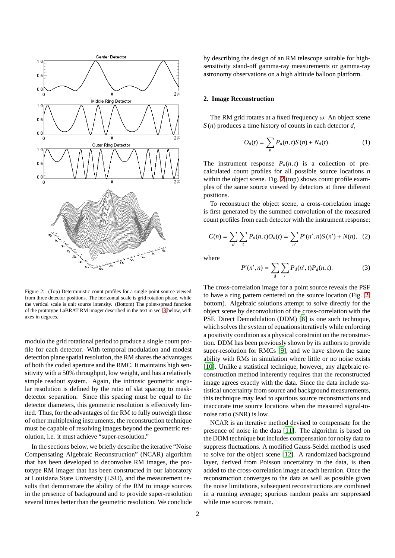

<span id="page-2-0"></span>Figure 2: (Top) Deterministic count profiles for a single point source viewed from three detector positions. The horizontal scale is grid rotation phase, while the vertical scale is unit source intensity. (Bottom) The point-spread function of the prototype LaBRAT RM imager described in the text in sec. [3](#page-3-0) below, with axes in degrees.

modulo the grid rotational period to produce a single count profile for each detector. With temporal modulation and modest detection plane spatial resolution, the RM shares the advantages of both the coded aperture and the RMC. It maintains high sensitivity with a 50% throughput, low weight, and has a relatively simple readout system. Again, the intrinsic geometric angular resolution is defined by the ratio of slat spacing to maskdetector separation. Since this spacing must be equal to the detector diameters, this geometric resolution is effectively limited. Thus, for the advantages of the RM to fully outweigh those of other multiplexing instruments, the reconstruction technique must be capable of resolving images beyond the geometric resolution, i.e. it must achieve "super-resolution."

In the sections below, we briefly describe the iterative "Noise Compensating Algebraic Reconstruction" (NCAR) algorithm that has been developed to deconvolve RM images, the prototype RM imager that has been constructed in our laboratory at Louisiana State University (LSU), and the measurement results that demonstrate the ability of the RM to image sources in the presence of background and to provide super-resolution several times better than the geometric resolution. We conclude

by describing the design of an RM telescope suitable for highsensitivity stand-off gamma-ray measurements or gamma-ray astronomy observations on a high altitude balloon platform.

#### **2. Image Reconstruction**

The RM grid rotates at a fixed frequency  $\omega$ . An object scene *S* (*n*) produces a time history of counts in each detector *d*,

$$
O_d(t) = \sum_{n} P_d(n, t) S(n) + N_d(t).
$$
 (1)

The instrument response  $P_d(n, t)$  is a collection of precalculated count profiles for all possible source locations *n* within the object scene. Fig. [2](#page-2-0) (top) shows count profile examples of the same source viewed by detectors at three different positions.

To reconstruct the object scene, a cross-correlation image is first generated by the summed convolution of the measured count profiles from each detector with the instrument response:

$$
C(n) = \sum_{d} \sum_{t} P_d(n, t) O_d(t) = \sum_{n'} P'(n', n) S(n') + N(n), \quad (2)
$$

where

$$
P'(n',n) = \sum_{d} \sum_{t} P_d(n',t) P_d(n,t).
$$
 (3)

The cross-correlation image for a point source reveals the PSF to have a ring pattern centered on the source location (Fig. [2,](#page-2-0) bottom). Algebraic solutions attempt to solve directly for the object scene by deconvolution of the cross-correlation with the PSF. Direct Demodulation (DDM) [\[8](#page-4-7)] is one such technique, which solves the system of equations iteratively while enforcing a positivity condition as a physical constraint on the reconstruction. DDM has been previously shown by its authors to provide super-resolution for RMCs [\[9\]](#page-5-0), and we have shown the same ability with RMs in simulation where little or no noise exists [\[10\]](#page-5-1). Unlike a statistical technique, however, any algebraic reconstruction method inherently requires that the reconstructed image agrees exactly with the data. Since the data include statistical uncertainty from source and background measurements, this technique may lead to spurious source reconstructions and inaccurate true source locations when the measured signal-tonoise ratio (SNR) is low.

NCAR is an iterative method devised to compensate for the presence of noise in the data [\[11](#page-5-2)]. The algorithm is based on the DDM technique but includes compensation for noisy data to suppress fluctuations. A modified Gauss-Seidel method is used to solve for the object scene [\[12\]](#page-5-3). A randomized background layer, derived from Poisson uncertainty in the data, is then added to the cross-correlation image at each iteration. Once the reconstruction converges to the data as well as possible given the noise limitations, subsequent reconstructions are combined in a running average; spurious random peaks are suppressed while true sources remain.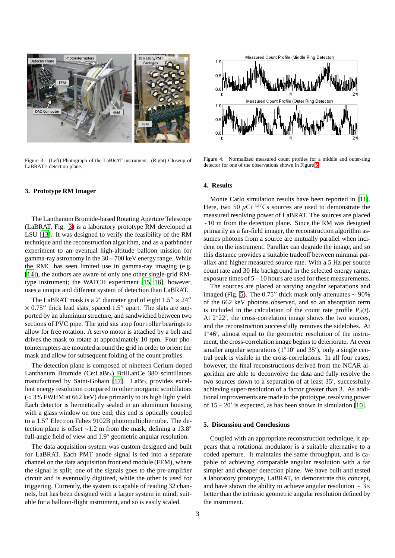

Figure 3: (Left) Photograph of the LaBRAT instrument. (Right) Closeup of LaBRAT's detection plane.

## <span id="page-3-1"></span><span id="page-3-0"></span>**3. Prototype RM Imager**

The Lanthanum Bromide-based Rotating Aperture Telescope (LaBRAT, Fig. [3\)](#page-3-1) is a laboratory prototype RM developed at LSU [\[13\]](#page-5-4). It was designed to verify the feasibility of the RM technique and the reconstruction algorithm, and as a pathfinder experiment to an eventual high-altitude balloon mission for gamma-ray astronomy in the 30 – 700 keV energy range. While the RMC has seen limited use in gamma-ray imaging (e.g. [\[14\]](#page-5-5)), the authors are aware of only one other single-grid RMtype instrument; the WATCH experiment [\[15,](#page-5-6) [16\]](#page-5-7), however, uses a unique and different system of detection than LaBRAT.

The LaBRAT mask is a 2' diameter grid of eight  $1.5'' \times 24''$  $\times$  0.75″ thick lead slats, spaced 1.5″ apart. The slats are supported by an aluminum structure, and sandwiched between two sections of PVC pipe. The grid sits atop four roller bearings to allow for free rotation. A servo motor is attached by a belt and drives the mask to rotate at approximately 10 rpm. Four photointerrupters are mounted around the grid in order to orient the mask and allow for subsequent folding of the count profiles.

The detection plane is composed of nineteen Cerium-doped Lanthanum Bromide (Ce:LaBr3) BrilLanCe 380 scintillators manufactured by Saint-Gobain  $[17]$ . LaBr<sub>3</sub> provides excellent energy resolution compared to other inorganic scintillators (< 3% FWHM at 662 keV) due primarily to its high light yield. Each detector is hermetically sealed in an aluminum housing with a glass window on one end; this end is optically coupled to a 1.5′′ Electron Tubes 9102B photomultiplier tube. The detection plane is offset ∼1.2 m from the mask, defining a 13.8◦ full-angle field of view and 1.9◦ geometric angular resolution.

The data acquisition system was custom designed and built for LaBRAT. Each PMT anode signal is fed into a separate channel on the data acquisition front end module (FEM), where the signal is split; one of the signals goes to the pre-amplifier circuit and is eventually digitized, while the other is used for triggering. Currently, the system is capable of reading 32 channels, but has been designed with a larger system in mind, suitable for a balloon-flight instrument, and so is easily scaled.



Figure 4: Normalized measured count profiles for a middle and outer-ring detector for one of the observations shown in Figure [5.](#page-4-8)

#### **4. Results**

Monte Carlo simulation results have been reported in [\[11\]](#page-5-2). Here, two 50  $\mu$ Ci <sup>137</sup>Cs sources are used to demonstrate the measured resolving power of LaBRAT. The sources are placed ∼10 m from the detection plane. Since the RM was designed primarily as a far-field imager, the reconstruction algorithm assumes photons from a source are mutually parallel when incident on the instrument. Parallax can degrade the image, and so this distance provides a suitable tradeoff between minimal parallax and higher measured source rate. With a 5 Hz per source count rate and 30 Hz background in the selected energy range, exposure times of 5 – 10 hours are used for these measurements.

The sources are placed at varying angular separations and imaged (Fig. [5\)](#page-4-8). The 0.75″ thick mask only attenuates  $\sim$  90% of the 662 keV photons observed, and so an absorption term is included in the calculation of the count rate profile  $P_d(t)$ . At 2°22′, the cross-correlation image shows the two sources, and the reconstruction successfully removes the sidelobes. At 1 ◦46′ , almost equal to the geometric resolution of the instrument, the cross-correlation image begins to deteriorate. At even smaller angular separations ( $1°10'$  and 35'), only a single central peak is visible in the cross-correlations. In all four cases, however, the final reconstructions derived from the NCAR algorithm are able to deconvolve the data and fully resolve the two sources down to a separation of at least 35′ , successfully achieving super-resolution of a factor greater than 3. As additional improvements are made to the prototype, resolving power of  $15 - 20'$  is expected, as has been shown in simulation [\[10](#page-5-1)].

# **5. Discussion and Conclusions**

Coupled with an appropriate reconstruction technique, it appears that a rotational modulator is a suitable alternative to a coded aperture. It maintains the same throughput, and is capable of achieving comparable angular resolution with a far simpler and cheaper detection plane. We have built and tested a laboratory prototype, LaBRAT, to demonstrate this concept, and have shown the ability to achieve angular resolution ∼ 3× better than the intrinsic geometric angular resolution defined by the instrument.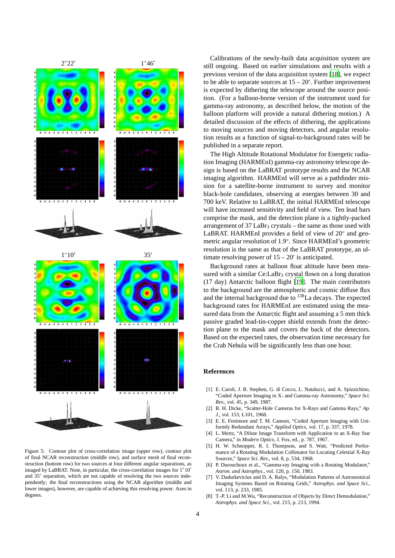

<span id="page-4-8"></span>Figure 5: Contour plot of cross-correlation image (upper row), contour plot of final NCAR reconstruction (middle row), and surface mesh of final reconstruction (bottom row) for two sources at four different angular separations, as imaged by LaBRAT. Note, in particular, the cross-correlation images for 1◦10′ and 35′ separation, which are not capable of resolving the two sources independently; the final reconstructions using the NCAR algorithm (middle and lower images), however, are capable of achieving this resolving power. Axes in degrees.

Calibrations of the newly-built data acquisition system are still ongoing. Based on earlier simulations and results with a previous version of the data acquisition system [\[18\]](#page-5-9), we expect to be able to separate sources at  $15 - 20'$ . Further improvement is expected by dithering the telescope around the source position. (For a balloon-borne version of the instrument used for gamma-ray astronomy, as described below, the motion of the balloon platform will provide a natural dithering motion.) A detailed discussion of the effects of dithering, the applications to moving sources and moving detectors, and angular resolution results as a function of signal-to-background rates will be published in a separate report.

The High Altitude Rotational Modulator for Energetic radiation Imaging (HARMEnI) gamma-ray astronomy telescope design is based on the LaBRAT prototype results and the NCAR imaging algorithm. HARMEnI will serve as a pathfinder mission for a satellite-borne instrument to survey and monitor black-hole candidates, observing at energies between 30 and 700 keV. Relative to LaBRAT, the initial HARMEnI telescope will have increased sensitivity and field of view. Ten lead bars comprise the mask, and the detection plane is a tightly-packed arrangement of  $37$  LaBr<sub>3</sub> crystals – the same as those used with LaBRAT. HARMEnI provides a field of view of 20° and geometric angular resolution of 1.9◦ . Since HARMEnI's geometric resolution is the same as that of the LaBRAT prototype, an ultimate resolving power of  $15 - 20'$  is anticipated.

Background rates at balloon float altitude have been measured with a similar Ce:LaBr<sub>3</sub> crystal flown on a long duration (17 day) Antarctic balloon flight [\[19\]](#page-5-10). The main contributors to the background are the atmospheric and cosmic diffuse flux and the internal background due to <sup>138</sup>La decays. The expected background rates for HARMEnI are estimated using the measured data from the Antarctic flight and assuming a 5 mm thick passive graded lead-tin-copper shield extends from the detection plane to the mask and covers the back of the detectors. Based on the expected rates, the observation time necessary for the Crab Nebula will be significantly less than one hour.

#### **References**

- <span id="page-4-0"></span>[1] E. Caroli, J. B. Stephen, G. di Cocco, L. Natalucci, and A. Spizzichino, "Coded Aperture Imaging in X- and Gamma-ray Astronomy," *Space Sci. Rev.*, vol. 45, p. 349, 1987.
- <span id="page-4-1"></span>[2] R. H. Dicke, "Scatter-Hole Cameras for X-Rays and Gamma Rays," *Ap. J.*, vol. 153, L101, 1968.
- <span id="page-4-2"></span>[3] E. E. Fenimore and T. M. Cannon, "Coded Aperture Imaging with Uniformly Redundant Arrays," *Applied Optics*, vol. 17, p. 337, 1978.
- <span id="page-4-3"></span>[4] L. Mertz, "A Dilute Image Transform with Application to an X-Ray Star Camera," in *Modern Optics*, J. Fox, ed., p. 787, 1967.
- <span id="page-4-4"></span>[5] H. W. Schnopper, R. I. Thompson, and S. Watt, "Predicted Performance of a Rotating Modulation Collimator for Locating Celestial X-Ray Sources," *Space Sci. Rev.*, vol. 8, p. 534, 1968.
- <span id="page-4-5"></span>[6] P. Durouchoux et al., "Gamma-ray Imaging with a Rotating Modulator," *Astron. and Astrophys.*, vol. 120, p. 150, 1983.
- <span id="page-4-6"></span>[7] V. Dadurkevicius and D. A. Ralys, "Modulation Patterns of Astronomical Imaging Systems Based on Rotating Grids," *Astrophys. and Space Sci.*, vol. 113, p. 233, 1985.
- <span id="page-4-7"></span>[8] T.-P. Li and M.Wu, "Reconstruction of Objects by Direct Demodulation," *Astrophys. and Space Sci.*, vol. 215, p. 213, 1994.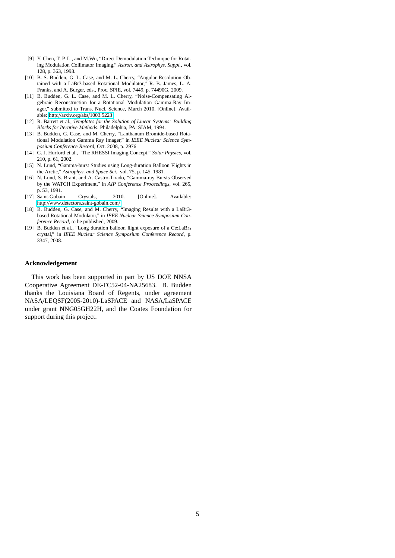- <span id="page-5-0"></span>[9] Y. Chen, T. P. Li, and M.Wu, "Direct Demodulation Technique for Rotating Modulation Collimator Imaging," *Astron. and Astrophys. Suppl.*, vol. 128, p. 363, 1998.
- <span id="page-5-1"></span>[10] B. S. Budden, G. L. Case, and M. L. Cherry, "Angular Resolution Obtained with a LaBr3-based Rotational Modulator," R. B. James, L. A. Franks, and A. Burger, eds., Proc. SPIE, vol. 7449, p. 74490G, 2009.
- <span id="page-5-2"></span>[11] B. Budden, G. L. Case, and M. L. Cherry, "Noise-Compensating Algebraic Reconstruction for a Rotational Modulation Gamma-Ray Imager," submitted to Trans. Nucl. Science, March 2010. [Online]. Available: http://arxiv.org/abs/[1003.5223](http://arxiv.org/abs/1003.5223)
- <span id="page-5-3"></span>[12] R. Barrett et al., *Templates for the Solution of Linear Systems: Building Blocks for Iterative Methods*. Philadelphia, PA: SIAM, 1994.
- <span id="page-5-4"></span>[13] B. Budden, G. Case, and M. Cherry, "Lanthanum Bromide-based Rotational Modulation Gamma Ray Imager," in *IEEE Nuclear Science Symposium Conference Record*, Oct. 2008, p. 2976.
- <span id="page-5-5"></span>[14] G. J. Hurford et al., "The RHESSI Imaging Concept," *Solar Physics*, vol. 210, p. 61, 2002.
- <span id="page-5-6"></span>[15] N. Lund, "Gamma-burst Studies using Long-duration Balloon Flights in the Arctic," *Astrophys. and Space Sci.*, vol. 75, p. 145, 1981.
- <span id="page-5-7"></span>[16] N. Lund, S. Brant, and A. Castro-Tirado, "Gamma-ray Bursts Observed by the WATCH Experiment," in *AIP Conference Proceedings*, vol. 265, p. 53, 1991.
- <span id="page-5-8"></span>[17] Saint-Gobain Crystals, 2010. [Online]. Available: http://[www.detectors.saint-gobain.com](http://www.detectors.saint-gobain.com/)/
- <span id="page-5-9"></span>[18] B. Budden, G. Case, and M. Cherry, "Imaging Results with a LaBr3 based Rotational Modulator," in *IEEE Nuclear Science Symposium Conference Record*, to be published, 2009.
- <span id="page-5-10"></span>[19] B. Budden et al., "Long duration balloon flight exposure of a Ce:LaBr<sub>3</sub> crystal," in *IEEE Nuclear Science Symposium Conference Record*, p. 3347, 2008.

#### **Acknowledgement**

This work has been supported in part by US DOE NNSA Cooperative Agreement DE-FC52-04-NA25683. B. Budden thanks the Louisiana Board of Regents, under agreement NASA/LEQSF(2005-2010)-LaSPACE and NASA/LaSPACE under grant NNG05GH22H, and the Coates Foundation for support during this project.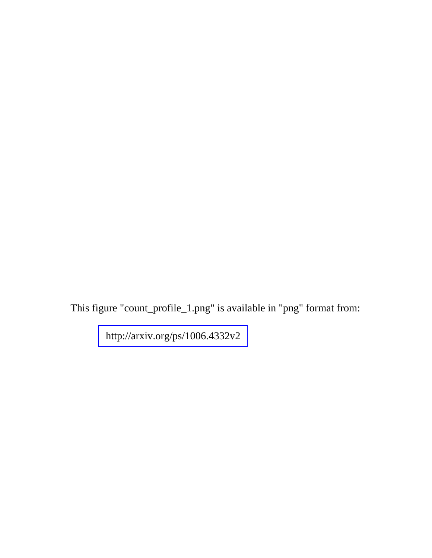This figure "count\_profile\_1.png" is available in "png" format from: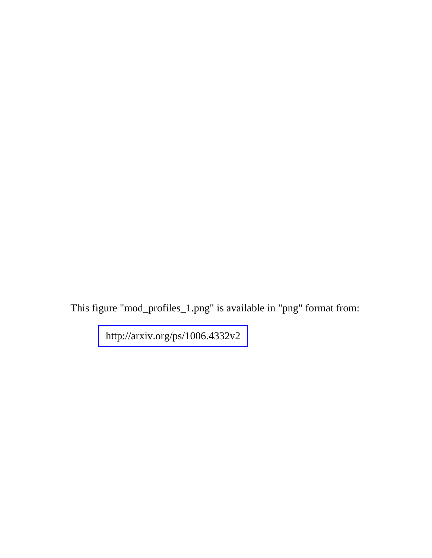This figure "mod\_profiles\_1.png" is available in "png" format from: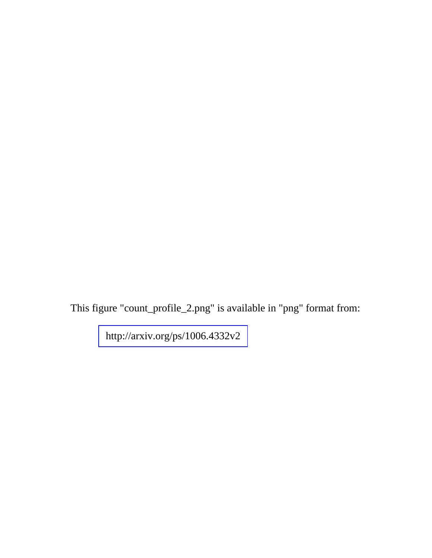This figure "count\_profile\_2.png" is available in "png" format from: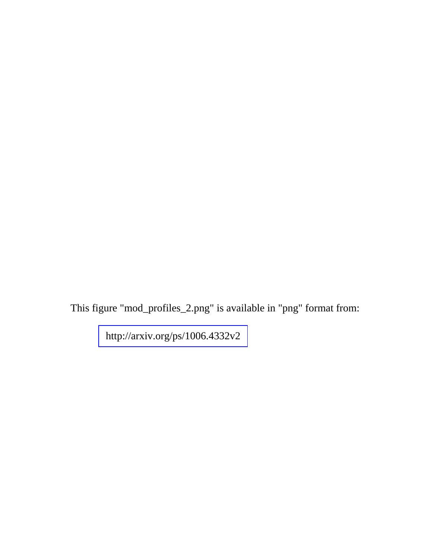This figure "mod\_profiles\_2.png" is available in "png" format from: